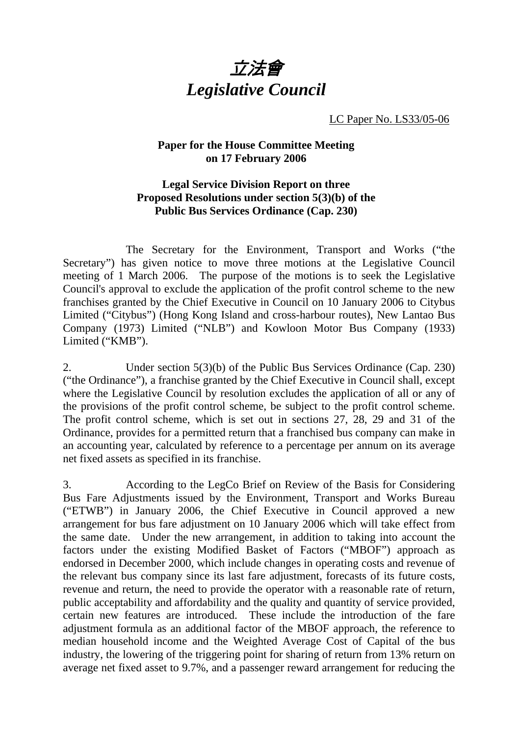

LC Paper No. LS33/05-06

## **Paper for the House Committee Meeting on 17 February 2006**

## **Legal Service Division Report on three Proposed Resolutions under section 5(3)(b) of the Public Bus Services Ordinance (Cap. 230)**

 The Secretary for the Environment, Transport and Works ("the Secretary") has given notice to move three motions at the Legislative Council meeting of 1 March 2006. The purpose of the motions is to seek the Legislative Council's approval to exclude the application of the profit control scheme to the new franchises granted by the Chief Executive in Council on 10 January 2006 to Citybus Limited ("Citybus") (Hong Kong Island and cross-harbour routes), New Lantao Bus Company (1973) Limited ("NLB") and Kowloon Motor Bus Company (1933) Limited ("KMB").

2. Under section 5(3)(b) of the Public Bus Services Ordinance (Cap. 230) ("the Ordinance"), a franchise granted by the Chief Executive in Council shall, except where the Legislative Council by resolution excludes the application of all or any of the provisions of the profit control scheme, be subject to the profit control scheme. The profit control scheme, which is set out in sections 27, 28, 29 and 31 of the Ordinance, provides for a permitted return that a franchised bus company can make in an accounting year, calculated by reference to a percentage per annum on its average net fixed assets as specified in its franchise.

3. According to the LegCo Brief on Review of the Basis for Considering Bus Fare Adjustments issued by the Environment, Transport and Works Bureau ("ETWB") in January 2006, the Chief Executive in Council approved a new arrangement for bus fare adjustment on 10 January 2006 which will take effect from the same date. Under the new arrangement, in addition to taking into account the factors under the existing Modified Basket of Factors ("MBOF") approach as endorsed in December 2000, which include changes in operating costs and revenue of the relevant bus company since its last fare adjustment, forecasts of its future costs, revenue and return, the need to provide the operator with a reasonable rate of return, public acceptability and affordability and the quality and quantity of service provided, certain new features are introduced. These include the introduction of the fare adjustment formula as an additional factor of the MBOF approach, the reference to median household income and the Weighted Average Cost of Capital of the bus industry, the lowering of the triggering point for sharing of return from 13% return on average net fixed asset to 9.7%, and a passenger reward arrangement for reducing the